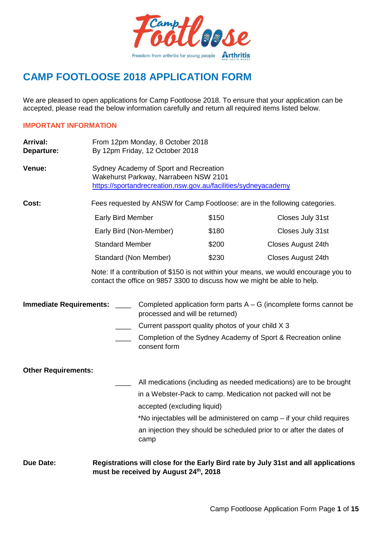

# **CAMP FOOTLOOSE 2018 APPLICATION FORM**

We are pleased to open applications for Camp Footloose 2018. To ensure that your application can be accepted, please read the below information carefully and return all required items listed below.

#### **IMPORTANT INFORMATION**

- Arrival: From 12pm Monday, 8 October 2018 **Departure:** By 12pm Friday, 12 October 2018
- **Venue:** Sydney Academy of Sport and Recreation Wakehurst Parkway, Narrabeen NSW 2101 <https://sportandrecreation.nsw.gov.au/facilities/sydneyacademy>

**Cost:** Fees requested by ANSW for Camp Footloose: are in the following categories.

| <b>Early Bird Member</b> | \$150 | Closes July 31st   |
|--------------------------|-------|--------------------|
| Early Bird (Non-Member)  | \$180 | Closes July 31st   |
| <b>Standard Member</b>   | \$200 | Closes August 24th |
| Standard (Non Member)    | \$230 | Closes August 24th |

Note: If a contribution of \$150 is not within your means, we would encourage you to contact the office on 9857 3300 to discuss how we might be able to help.

#### **Immediate Requirements:** \_\_\_\_ Completed application form parts A – G (incomplete forms cannot be processed and will be returned)

- Current passport quality photos of your child X 3
- Completion of the Sydney Academy of Sport & Recreation online consent form

#### **Other Requirements:**

All medications (including as needed medications) are to be brought in a Webster-Pack to camp. Medication not packed will not be accepted (excluding liquid)

\*No injectables will be administered on camp – if your child requires an injection they should be scheduled prior to or after the dates of camp

**Due Date: Registrations will close for the Early Bird rate by July 31st and all applications must be received by August 24th, 2018**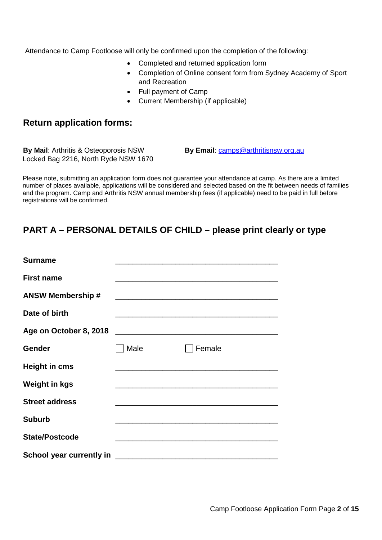Attendance to Camp Footloose will only be confirmed upon the completion of the following:

- Completed and returned application form
- Completion of Online consent form from Sydney Academy of Sport and Recreation
- Full payment of Camp
- Current Membership (if applicable)

#### **Return application forms:**

**By Mail:** Arthritis & Osteoporosis NSW **By Email:** [camps@arthritisnsw.org.au](mailto:camps@arthritisnsw.org.au) Locked Bag 2216, North Ryde NSW 1670

Please note, submitting an application form does not guarantee your attendance at camp. As there are a limited number of places available, applications will be considered and selected based on the fit between needs of families and the program. Camp and Arthritis NSW annual membership fees (if applicable) need to be paid in full before registrations will be confirmed.

### **PART A – PERSONAL DETAILS OF CHILD – please print clearly or type**

| <b>Surname</b>           |      |                                                                   |  |
|--------------------------|------|-------------------------------------------------------------------|--|
| First name               |      |                                                                   |  |
| <b>ANSW Membership #</b> |      |                                                                   |  |
| Date of birth            |      | <u> 1980 - Johann John Stone, mars eta biztanleria (h. 1980).</u> |  |
|                          |      |                                                                   |  |
| Gender                   | Male | Female                                                            |  |
| <b>Height in cms</b>     |      | <u> 1989 - Johann John Stone, mars eta biztanleria (h. 1989).</u> |  |
| <b>Weight in kgs</b>     |      | <u> 1980 - Johann John Stone, mars eta biztanleria (h. 1980).</u> |  |
| <b>Street address</b>    |      |                                                                   |  |
| <b>Suburb</b>            |      |                                                                   |  |
| <b>State/Postcode</b>    |      |                                                                   |  |
|                          |      |                                                                   |  |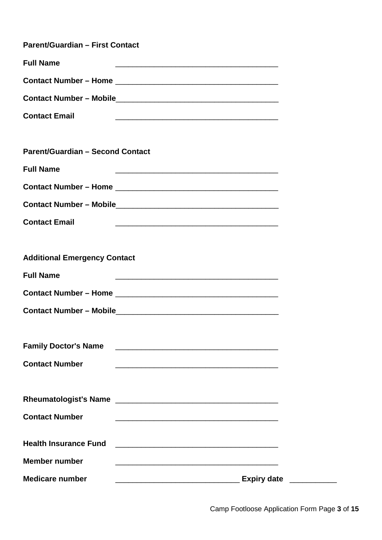| <b>Parent/Guardian - First Contact</b>                                               |  |
|--------------------------------------------------------------------------------------|--|
| <b>Full Name</b><br><u> 1989 - Johann Stoff, amerikansk politiker (d. 1989)</u>      |  |
|                                                                                      |  |
|                                                                                      |  |
| <b>Contact Email</b>                                                                 |  |
|                                                                                      |  |
| <b>Parent/Guardian - Second Contact</b>                                              |  |
| <b>Full Name</b>                                                                     |  |
|                                                                                      |  |
|                                                                                      |  |
| <b>Contact Email</b>                                                                 |  |
|                                                                                      |  |
| <b>Additional Emergency Contact</b>                                                  |  |
| <b>Full Name</b><br><u> 1989 - Johann Stoff, amerikansk politiker (d. 1989)</u>      |  |
|                                                                                      |  |
|                                                                                      |  |
|                                                                                      |  |
| <b>Family Doctor's Name</b>                                                          |  |
| <b>Contact Number</b><br><u> 1989 - Johann Stoff, amerikansk politiker (d. 1989)</u> |  |
|                                                                                      |  |
| Rheumatologist's Name                                                                |  |
| <b>Contact Number</b>                                                                |  |
| <b>Health Insurance Fund</b>                                                         |  |
| <b>Member number</b>                                                                 |  |
| <b>Medicare number</b><br><b>Expiry date</b>                                         |  |
|                                                                                      |  |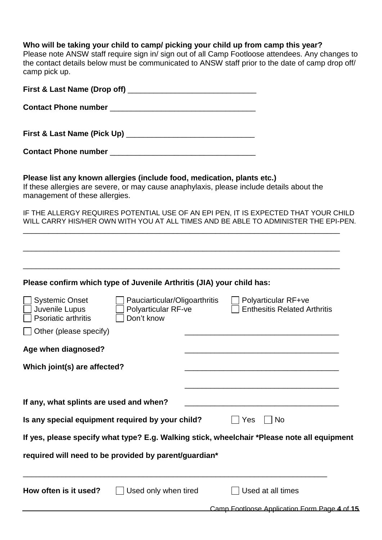#### **Who will be taking your child to camp/ picking your child up from camp this year?**

Please note ANSW staff require sign in/ sign out of all Camp Footloose attendees. Any changes to

| camp pick up.                                                                                             |                                                                             | the contact details below must be communicated to ANSW staff prior to the date of camp drop off/                                                                           |
|-----------------------------------------------------------------------------------------------------------|-----------------------------------------------------------------------------|----------------------------------------------------------------------------------------------------------------------------------------------------------------------------|
|                                                                                                           |                                                                             |                                                                                                                                                                            |
|                                                                                                           |                                                                             |                                                                                                                                                                            |
|                                                                                                           |                                                                             |                                                                                                                                                                            |
|                                                                                                           |                                                                             |                                                                                                                                                                            |
| Please list any known allergies (include food, medication, plants etc.)<br>management of these allergies. |                                                                             | If these allergies are severe, or may cause anaphylaxis, please include details about the                                                                                  |
|                                                                                                           |                                                                             | IF THE ALLERGY REQUIRES POTENTIAL USE OF AN EPI PEN, IT IS EXPECTED THAT YOUR CHILD<br>WILL CARRY HIS/HER OWN WITH YOU AT ALL TIMES AND BE ABLE TO ADMINISTER THE EPI-PEN. |
|                                                                                                           |                                                                             | <u> 1980 - Johann Stoff, amerikansk politiker (d. 1980)</u>                                                                                                                |
| Please confirm which type of Juvenile Arthritis (JIA) your child has:                                     |                                                                             |                                                                                                                                                                            |
| $\Box$ Systemic Onset<br>Juvenile Lupus<br>$\Box$ Psoriatic arthritis                                     | □ Pauciarticular/Oligoarthritis<br><b>Polyarticular RF-ve</b><br>Don't know | $\Box$ Polyarticular RF+ve<br><b>Enthesitis Related Arthritis</b>                                                                                                          |
| $\Box$ Other (please specify)                                                                             |                                                                             |                                                                                                                                                                            |
| Age when diagnosed?                                                                                       |                                                                             |                                                                                                                                                                            |
| Which joint(s) are affected?                                                                              |                                                                             |                                                                                                                                                                            |
| If any, what splints are used and when?                                                                   |                                                                             |                                                                                                                                                                            |
| Is any special equipment required by your child?                                                          |                                                                             | Yes<br>No                                                                                                                                                                  |
|                                                                                                           |                                                                             | If yes, please specify what type? E.g. Walking stick, wheelchair *Please note all equipment                                                                                |
| required will need to be provided by parent/guardian*                                                     |                                                                             |                                                                                                                                                                            |
| How often is it used?                                                                                     | Used only when tired                                                        | Used at all times                                                                                                                                                          |
|                                                                                                           |                                                                             | Camp Footloose Application Form Page 4 of 15                                                                                                                               |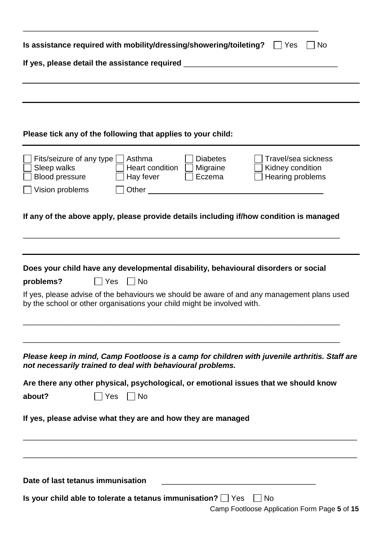| Is assistance required with mobility/dressing/showering/toileting?<br>  Yes<br>No                                                                                                                                                                                                          |  |  |  |  |  |  |
|--------------------------------------------------------------------------------------------------------------------------------------------------------------------------------------------------------------------------------------------------------------------------------------------|--|--|--|--|--|--|
| If yes, please detail the assistance required __________________________________                                                                                                                                                                                                           |  |  |  |  |  |  |
|                                                                                                                                                                                                                                                                                            |  |  |  |  |  |  |
|                                                                                                                                                                                                                                                                                            |  |  |  |  |  |  |
|                                                                                                                                                                                                                                                                                            |  |  |  |  |  |  |
| Please tick any of the following that applies to your child:                                                                                                                                                                                                                               |  |  |  |  |  |  |
| Fits/seizure of any type<br>Asthma<br><b>Diabetes</b><br>Travel/sea sickness<br>Sleep walks<br>Heart condition    <br>Migraine<br>Kidney condition<br>Hearing problems<br><b>Blood pressure</b><br>Eczema<br>Hay fever<br>Vision problems<br>Other                                         |  |  |  |  |  |  |
| If any of the above apply, please provide details including if/how condition is managed                                                                                                                                                                                                    |  |  |  |  |  |  |
| Does your child have any developmental disability, behavioural disorders or social<br>  No<br>problems?<br>  Yes<br>If yes, please advise of the behaviours we should be aware of and any management plans used<br>by the school or other organisations your child might be involved with. |  |  |  |  |  |  |
| Please keep in mind, Camp Footloose is a camp for children with juvenile arthritis. Staff are<br>not necessarily trained to deal with behavioural problems.                                                                                                                                |  |  |  |  |  |  |
| Are there any other physical, psychological, or emotional issues that we should know                                                                                                                                                                                                       |  |  |  |  |  |  |
| about?<br> Yes<br>$\vert$ $\vert$ No                                                                                                                                                                                                                                                       |  |  |  |  |  |  |
| If yes, please advise what they are and how they are managed                                                                                                                                                                                                                               |  |  |  |  |  |  |
|                                                                                                                                                                                                                                                                                            |  |  |  |  |  |  |
| Date of last tetanus immunisation                                                                                                                                                                                                                                                          |  |  |  |  |  |  |
| Is your child able to tolerate a tetanus immunisation? $\Box$ Yes<br>  No<br>Camp Footloose Application Form Page 5 of 15                                                                                                                                                                  |  |  |  |  |  |  |

\_\_\_\_\_\_\_\_\_\_\_\_\_\_\_\_\_\_\_\_\_\_\_\_\_\_\_\_\_\_\_\_\_\_\_\_\_\_\_\_\_\_\_\_\_\_\_\_\_\_\_\_\_\_\_\_\_\_\_\_\_\_\_\_\_\_\_\_\_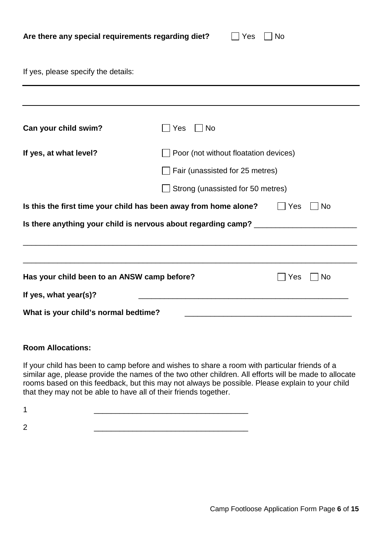| Are there any special requirements regarding diet? |  |  |  |  |  |  |  |  |
|----------------------------------------------------|--|--|--|--|--|--|--|--|
|----------------------------------------------------|--|--|--|--|--|--|--|--|

 $\Box$  Yes  $\Box$  No

If yes, please specify the details:

| Can your child swim?                        | Yes<br><b>No</b>                                                                 |                  |
|---------------------------------------------|----------------------------------------------------------------------------------|------------------|
| If yes, at what level?                      | $\Box$ Poor (not without floatation devices)                                     |                  |
|                                             | Fair (unassisted for 25 metres)                                                  |                  |
|                                             | Strong (unassisted for 50 metres)                                                |                  |
|                                             | Is this the first time your child has been away from home alone?                 | Yes<br><b>No</b> |
|                                             | Is there anything your child is nervous about regarding camp? __________________ |                  |
|                                             |                                                                                  |                  |
|                                             |                                                                                  |                  |
| Has your child been to an ANSW camp before? |                                                                                  | Yes<br>No        |
| If yes, what year(s)?                       | <u> 1980 - John Stein, mars and de Britain (b. 1980)</u>                         |                  |
| What is your child's normal bedtime?        |                                                                                  |                  |
|                                             |                                                                                  |                  |

#### **Room Allocations:**

If your child has been to camp before and wishes to share a room with particular friends of a similar age, please provide the names of the two other children. All efforts will be made to allocate rooms based on this feedback, but this may not always be possible. Please explain to your child that they may not be able to have all of their friends together.

2 \_\_\_\_\_\_\_\_\_\_\_\_\_\_\_\_\_\_\_\_\_\_\_\_\_\_\_\_\_\_\_\_\_\_\_\_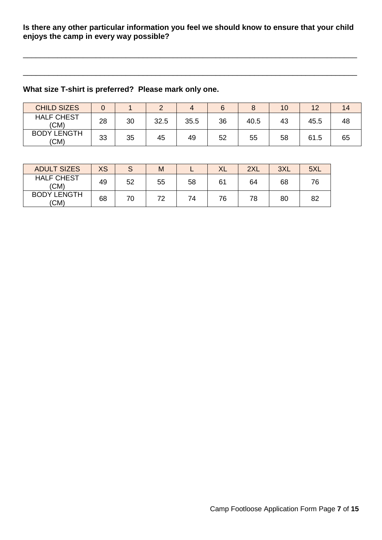#### **Is there any other particular information you feel we should know to ensure that your child enjoys the camp in every way possible?**

\_\_\_\_\_\_\_\_\_\_\_\_\_\_\_\_\_\_\_\_\_\_\_\_\_\_\_\_\_\_\_\_\_\_\_\_\_\_\_\_\_\_\_\_\_\_\_\_\_\_\_\_\_\_\_\_\_\_\_\_\_\_\_\_\_\_\_\_\_\_\_\_\_\_\_\_\_\_

\_\_\_\_\_\_\_\_\_\_\_\_\_\_\_\_\_\_\_\_\_\_\_\_\_\_\_\_\_\_\_\_\_\_\_\_\_\_\_\_\_\_\_\_\_\_\_\_\_\_\_\_\_\_\_\_\_\_\_\_\_\_\_\_\_\_\_\_\_\_\_\_\_\_\_\_\_\_

### **What size T-shirt is preferred? Please mark only one.**

| <b>CHILD SIZES</b>         |    |    |      |      |    |      | 10 | イウ   | 14 |
|----------------------------|----|----|------|------|----|------|----|------|----|
| <b>HALF CHEST</b><br>(CM)  | 28 | 30 | 32.5 | 35.5 | 36 | 40.5 | 43 | 45.5 | 48 |
| <b>BODY LENGTH</b><br>(CM) | 33 | 35 | 45   | 49   | 52 | 55   | 58 | 61.5 | 65 |

| <b>ADULT SIZES</b>         | <b>XS</b> | $\circ$ | M  |    | XL | 2XL | 3XL | 5XL |
|----------------------------|-----------|---------|----|----|----|-----|-----|-----|
| <b>HALF CHEST</b><br>(CM)  | 49        | 52      | 55 | 58 | 61 | 64  | 68  | 76  |
| <b>BODY LENGTH</b><br>(CM) | 68        | 70      | 72 | 74 | 76 | 78  | 80  | 82  |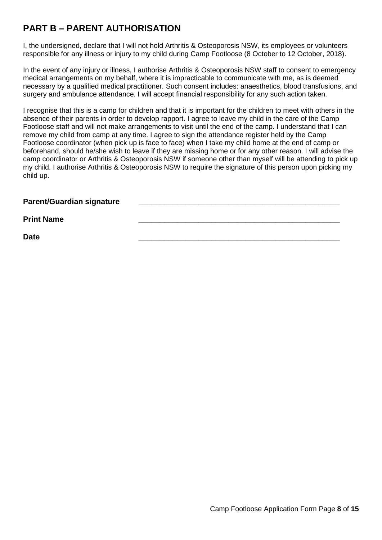## **PART B – PARENT AUTHORISATION**

I, the undersigned, declare that I will not hold Arthritis & Osteoporosis NSW, its employees or volunteers responsible for any illness or injury to my child during Camp Footloose (8 October to 12 October, 2018).

In the event of any injury or illness, I authorise Arthritis & Osteoporosis NSW staff to consent to emergency medical arrangements on my behalf, where it is impracticable to communicate with me, as is deemed necessary by a qualified medical practitioner. Such consent includes: anaesthetics, blood transfusions, and surgery and ambulance attendance. I will accept financial responsibility for any such action taken.

I recognise that this is a camp for children and that it is important for the children to meet with others in the absence of their parents in order to develop rapport. I agree to leave my child in the care of the Camp Footloose staff and will not make arrangements to visit until the end of the camp. I understand that I can remove my child from camp at any time. I agree to sign the attendance register held by the Camp Footloose coordinator (when pick up is face to face) when I take my child home at the end of camp or beforehand, should he/she wish to leave if they are missing home or for any other reason. I will advise the camp coordinator or Arthritis & Osteoporosis NSW if someone other than myself will be attending to pick up my child. I authorise Arthritis & Osteoporosis NSW to require the signature of this person upon picking my child up.

**Parent/Guardian signature \_\_\_\_\_\_\_\_\_\_\_\_\_\_\_\_\_\_\_\_\_\_\_\_\_\_\_\_\_\_\_\_\_\_\_\_\_\_\_\_\_\_\_\_\_\_\_**

Print Name **being a struck of the set of the set of the set of the set of the set of the set of the set of the s** 

**Date \_\_\_\_\_\_\_\_\_\_\_\_\_\_\_\_\_\_\_\_\_\_\_\_\_\_\_\_\_\_\_\_\_\_\_\_\_\_\_\_\_\_\_\_\_\_\_**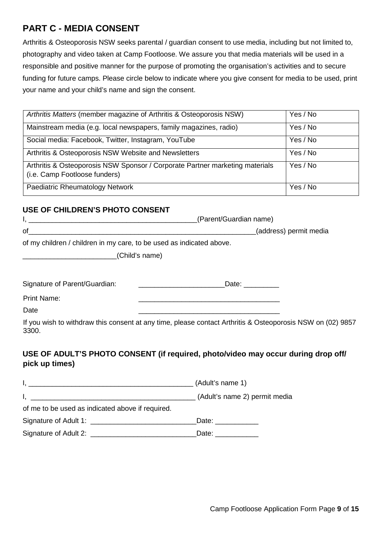## **PART C - MEDIA CONSENT**

Arthritis & Osteoporosis NSW seeks parental / guardian consent to use media, including but not limited to, photography and video taken at Camp Footloose. We assure you that media materials will be used in a responsible and positive manner for the purpose of promoting the organisation's activities and to secure funding for future camps. Please circle below to indicate where you give consent for media to be used, print your name and your child's name and sign the consent.

| Arthritis Matters (member magazine of Arthritis & Osteoporosis NSW)                                           | Yes / No |
|---------------------------------------------------------------------------------------------------------------|----------|
| Mainstream media (e.g. local newspapers, family magazines, radio)                                             | Yes / No |
| Social media: Facebook, Twitter, Instagram, YouTube                                                           | Yes / No |
| Arthritis & Osteoporosis NSW Website and Newsletters                                                          | Yes / No |
| Arthritis & Osteoporosis NSW Sponsor / Corporate Partner marketing materials<br>(i.e. Camp Footloose funders) | Yes / No |
| Paediatric Rheumatology Network                                                                               | Yes / No |

#### **USE OF CHILDREN'S PHOTO CONSENT**

|                                                                      | (Parent/Guardian name) |
|----------------------------------------------------------------------|------------------------|
| οf                                                                   | (address) permit media |
| of my children / children in my care, to be used as indicated above. |                        |
| (Child's name)                                                       |                        |

Signature of Parent/Guardian: \_\_\_\_\_\_\_\_\_\_\_\_\_\_\_\_\_\_\_\_\_\_Date: \_\_\_\_\_\_\_\_\_

Print Name:

Date \_\_\_\_\_\_\_\_\_\_\_\_\_\_\_\_\_\_\_\_\_\_\_\_\_\_\_\_\_\_\_\_\_\_\_\_

If you wish to withdraw this consent at any time, please contact Arthritis & Osteoporosis NSW on (02) 9857 3300.

#### **USE OF ADULT'S PHOTO CONSENT (if required, photo/video may occur during drop off/ pick up times)**

|                                                  | (Adult's name 1)                                                                                                                                                                                                               |
|--------------------------------------------------|--------------------------------------------------------------------------------------------------------------------------------------------------------------------------------------------------------------------------------|
|                                                  | (Adult's name 2) permit media                                                                                                                                                                                                  |
| of me to be used as indicated above if required. |                                                                                                                                                                                                                                |
|                                                  | Date: the contract of the contract of the contract of the contract of the contract of the contract of the contract of the contract of the contract of the contract of the contract of the contract of the contract of the cont |
|                                                  | Date: ____________                                                                                                                                                                                                             |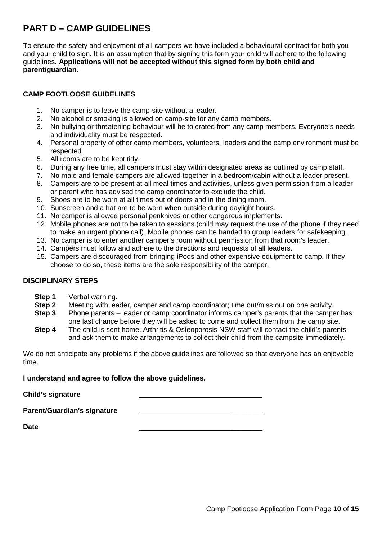## **PART D – CAMP GUIDELINES**

To ensure the safety and enjoyment of all campers we have included a behavioural contract for both you and your child to sign. It is an assumption that by signing this form your child will adhere to the following guidelines. **Applications will not be accepted without this signed form by both child and parent/guardian.**

#### **CAMP FOOTLOOSE GUIDELINES**

- 1. No camper is to leave the camp-site without a leader.
- 2. No alcohol or smoking is allowed on camp-site for any camp members.
- 3. No bullying or threatening behaviour will be tolerated from any camp members. Everyone's needs and individuality must be respected.
- 4. Personal property of other camp members, volunteers, leaders and the camp environment must be respected.
- 5. All rooms are to be kept tidy.
- 6. During any free time, all campers must stay within designated areas as outlined by camp staff.
- 7. No male and female campers are allowed together in a bedroom/cabin without a leader present.
- 8. Campers are to be present at all meal times and activities, unless given permission from a leader or parent who has advised the camp coordinator to exclude the child.
- 9. Shoes are to be worn at all times out of doors and in the dining room.
- 10. Sunscreen and a hat are to be worn when outside during daylight hours.
- 11. No camper is allowed personal penknives or other dangerous implements.
- 12. Mobile phones are not to be taken to sessions (child may request the use of the phone if they need to make an urgent phone call). Mobile phones can be handed to group leaders for safekeeping.
- 13. No camper is to enter another camper's room without permission from that room's leader.
- 14. Campers must follow and adhere to the directions and requests of all leaders.
- 15. Campers are discouraged from bringing iPods and other expensive equipment to camp. If they choose to do so, these items are the sole responsibility of the camper.

### **DISCIPLINARY STEPS**

- **Step 1** Verbal warning.<br>**Step 2** Meeting with lea
- **Step 2** Meeting with leader, camper and camp coordinator; time out/miss out on one activity.
- **Step 3** Phone parents leader or camp coordinator informs camper's parents that the camper has one last chance before they will be asked to come and collect them from the camp site.
- **Step 4** The child is sent home. Arthritis & Osteoporosis NSW staff will contact the child's parents and ask them to make arrangements to collect their child from the campsite immediately.

We do not anticipate any problems if the above guidelines are followed so that everyone has an enjoyable time.

**I understand and agree to follow the above guidelines.**

**Child's signature** \_\_\_\_\_\_\_\_

**Parent/Guardian's signature** \_\_\_\_\_\_\_\_

**Date** \_\_\_\_\_\_\_\_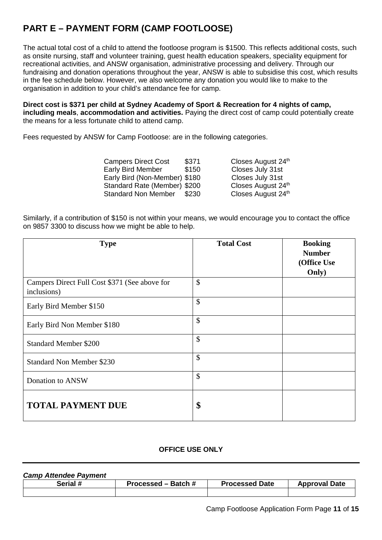## **PART E – PAYMENT FORM (CAMP FOOTLOOSE)**

The actual total cost of a child to attend the footloose program is \$1500. This reflects additional costs, such as onsite nursing, staff and volunteer training, guest health education speakers, speciality equipment for recreational activities, and ANSW organisation, administrative processing and delivery. Through our fundraising and donation operations throughout the year, ANSW is able to subsidise this cost, which results in the fee schedule below. However, we also welcome any donation you would like to make to the organisation in addition to your child's attendance fee for camp.

**Direct cost is \$371 per child at Sydney Academy of Sport & Recreation for 4 nights of camp, including meals**, **accommodation and activities.** Paying the direct cost of camp could potentially create the means for a less fortunate child to attend camp.

Fees requested by ANSW for Camp Footloose: are in the following categories.

| <b>Campers Direct Cost</b>    | \$371 | Closes August 24th |
|-------------------------------|-------|--------------------|
| <b>Early Bird Member</b>      | \$150 | Closes July 31st   |
| Early Bird (Non-Member) \$180 |       | Closes July 31st   |
| Standard Rate (Member) \$200  |       | Closes August 24th |
| <b>Standard Non Member</b>    | \$230 | Closes August 24th |

Similarly, if a contribution of \$150 is not within your means, we would encourage you to contact the office on 9857 3300 to discuss how we might be able to help.

| <b>Type</b>                                                  | <b>Total Cost</b> | <b>Booking</b><br><b>Number</b><br>(Office Use |
|--------------------------------------------------------------|-------------------|------------------------------------------------|
|                                                              |                   | Only)                                          |
| Campers Direct Full Cost \$371 (See above for<br>inclusions) | $\mathcal{S}$     |                                                |
| Early Bird Member \$150                                      | \$                |                                                |
| Early Bird Non Member \$180                                  | $\mathcal{S}$     |                                                |
| <b>Standard Member \$200</b>                                 | \$                |                                                |
| <b>Standard Non Member \$230</b>                             | \$                |                                                |
| Donation to ANSW                                             | \$                |                                                |
| <b>TOTAL PAYMENT DUE</b>                                     | \$                |                                                |

#### **OFFICE USE ONLY**

| <b>Camp Attendee Payment</b> |                     |                       |                      |
|------------------------------|---------------------|-----------------------|----------------------|
| Serial #                     | Processed – Batch # | <b>Processed Date</b> | <b>Approval Date</b> |
|                              |                     |                       |                      |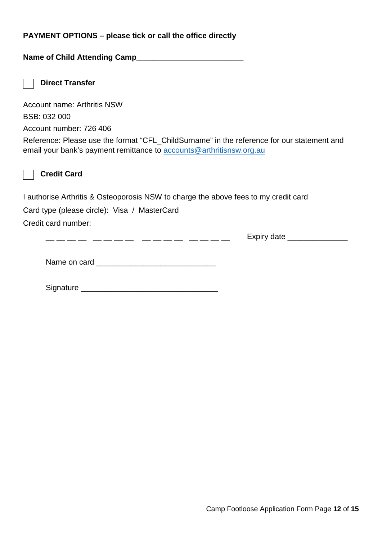#### **PAYMENT OPTIONS – please tick or call the office directly**

**Name of Child Attending Camp\_\_\_\_\_\_\_\_\_\_\_\_\_\_\_\_\_\_\_\_\_\_\_\_\_**

**Direct Transfer**

Account name: Arthritis NSW BSB: 032 000

Account number: 726 406

Reference: Please use the format "CFL\_ChildSurname" in the reference for our statement and email your bank's payment remittance to [accounts@arthritisnsw.org.au](mailto:accounts@arthritisnsw.org.au)



**Credit Card**

I authorise Arthritis & Osteoporosis NSW to charge the above fees to my credit card

Card type (please circle): Visa / MasterCard

Credit card number:

\_\_ \_\_ \_\_ \_\_ \_\_ \_\_ \_\_ \_\_ \_\_ \_\_ \_\_ \_\_ \_\_ \_\_ \_\_ \_\_ Expiry date \_\_\_\_\_\_\_\_\_\_\_\_\_\_

Name on card \_\_\_\_\_\_\_\_\_\_\_\_\_\_\_\_\_\_\_\_\_\_\_\_\_\_\_\_

Signature \_\_\_\_\_\_\_\_\_\_\_\_\_\_\_\_\_\_\_\_\_\_\_\_\_\_\_\_\_\_\_\_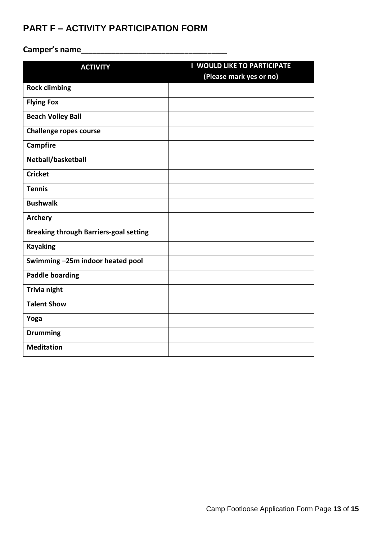## **PART F – ACTIVITY PARTICIPATION FORM**

# **Camper's name\_\_\_\_\_\_\_\_\_\_\_\_\_\_\_\_\_\_\_\_\_\_\_\_\_\_\_\_\_\_\_\_\_\_\_\_\_\_**

| <b>ACTIVITY</b>                               | <b>I WOULD LIKE TO PARTICIPATE</b> |
|-----------------------------------------------|------------------------------------|
|                                               | (Please mark yes or no)            |
| <b>Rock climbing</b>                          |                                    |
| <b>Flying Fox</b>                             |                                    |
| <b>Beach Volley Ball</b>                      |                                    |
| <b>Challenge ropes course</b>                 |                                    |
| <b>Campfire</b>                               |                                    |
| Netball/basketball                            |                                    |
| <b>Cricket</b>                                |                                    |
| <b>Tennis</b>                                 |                                    |
| <b>Bushwalk</b>                               |                                    |
| <b>Archery</b>                                |                                    |
| <b>Breaking through Barriers-goal setting</b> |                                    |
| <b>Kayaking</b>                               |                                    |
| Swimming-25m indoor heated pool               |                                    |
| <b>Paddle boarding</b>                        |                                    |
| Trivia night                                  |                                    |
| <b>Talent Show</b>                            |                                    |
| Yoga                                          |                                    |
| <b>Drumming</b>                               |                                    |
| <b>Meditation</b>                             |                                    |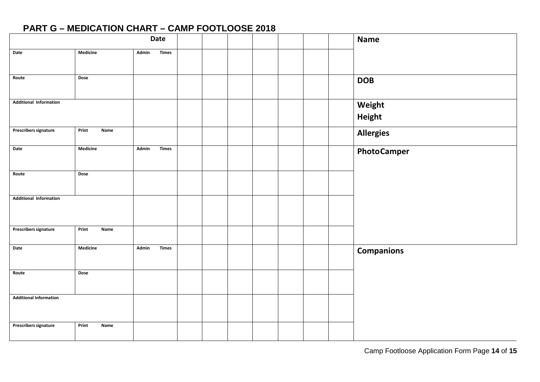## **PART G – MEDICATION CHART – CAMP FOOTLOOSE 2018**

| Date                          |               |                       |  |  | <b>Name</b> |                    |
|-------------------------------|---------------|-----------------------|--|--|-------------|--------------------|
| Date                          | Medicine      | Times<br>Admin        |  |  |             |                    |
| Route                         | Dose          |                       |  |  |             | <b>DOB</b>         |
| <b>Additional Information</b> |               |                       |  |  |             | Weight<br>Height   |
| <b>Prescribers signature</b>  | Print<br>Name |                       |  |  |             | <b>Allergies</b>   |
| Date                          | Medicine      | Admin<br><b>Times</b> |  |  |             | <b>PhotoCamper</b> |
| Route                         | Dose          |                       |  |  |             |                    |
| <b>Additional Information</b> |               |                       |  |  |             |                    |
| <b>Prescribers signature</b>  | Print<br>Name |                       |  |  |             |                    |
| Date                          | Medicine      | Admin<br><b>Times</b> |  |  |             | <b>Companions</b>  |
| Route                         | Dose          |                       |  |  |             |                    |
| <b>Additional Information</b> |               |                       |  |  |             |                    |
| <b>Prescribers signature</b>  | Print<br>Name |                       |  |  |             |                    |